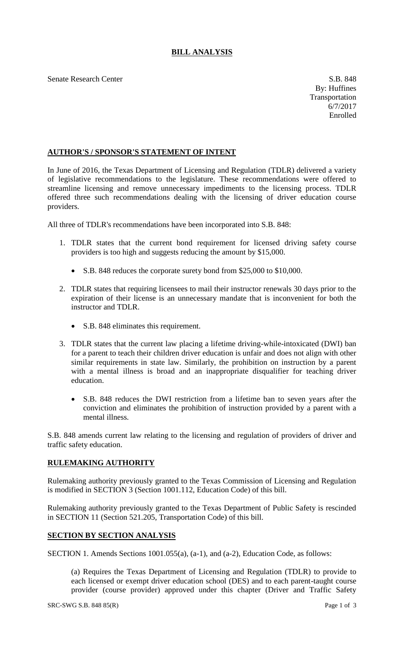## **BILL ANALYSIS**

Senate Research Center S.B. 848

## **AUTHOR'S / SPONSOR'S STATEMENT OF INTENT**

In June of 2016, the Texas Department of Licensing and Regulation (TDLR) delivered a variety of legislative recommendations to the legislature. These recommendations were offered to streamline licensing and remove unnecessary impediments to the licensing process. TDLR offered three such recommendations dealing with the licensing of driver education course providers.

All three of TDLR's recommendations have been incorporated into S.B. 848:

- 1. TDLR states that the current bond requirement for licensed driving safety course providers is too high and suggests reducing the amount by \$15,000.
	- S.B. 848 reduces the corporate surety bond from \$25,000 to \$10,000.
- 2. TDLR states that requiring licensees to mail their instructor renewals 30 days prior to the expiration of their license is an unnecessary mandate that is inconvenient for both the instructor and TDLR.
	- S.B. 848 eliminates this requirement.
- 3. TDLR states that the current law placing a lifetime driving-while-intoxicated (DWI) ban for a parent to teach their children driver education is unfair and does not align with other similar requirements in state law. Similarly, the prohibition on instruction by a parent with a mental illness is broad and an inappropriate disqualifier for teaching driver education.
	- S.B. 848 reduces the DWI restriction from a lifetime ban to seven years after the conviction and eliminates the prohibition of instruction provided by a parent with a mental illness.

S.B. 848 amends current law relating to the licensing and regulation of providers of driver and traffic safety education.

## **RULEMAKING AUTHORITY**

Rulemaking authority previously granted to the Texas Commission of Licensing and Regulation is modified in SECTION 3 (Section 1001.112, Education Code) of this bill.

Rulemaking authority previously granted to the Texas Department of Public Safety is rescinded in SECTION 11 (Section 521.205, Transportation Code) of this bill.

## **SECTION BY SECTION ANALYSIS**

SECTION 1. Amends Sections 1001.055(a), (a-1), and (a-2), Education Code, as follows:

(a) Requires the Texas Department of Licensing and Regulation (TDLR) to provide to each licensed or exempt driver education school (DES) and to each parent-taught course provider (course provider) approved under this chapter (Driver and Traffic Safety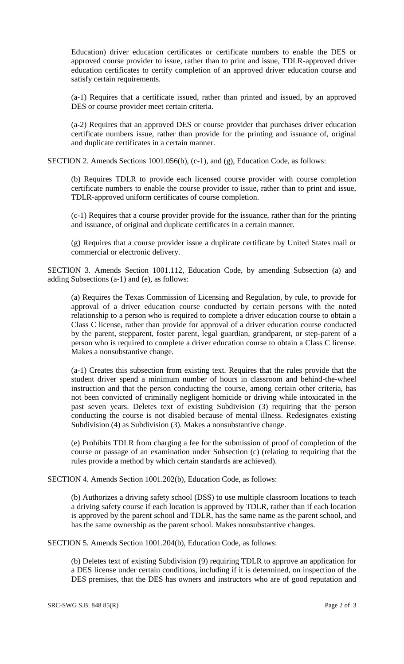Education) driver education certificates or certificate numbers to enable the DES or approved course provider to issue, rather than to print and issue, TDLR-approved driver education certificates to certify completion of an approved driver education course and satisfy certain requirements.

(a-1) Requires that a certificate issued, rather than printed and issued, by an approved DES or course provider meet certain criteria.

(a-2) Requires that an approved DES or course provider that purchases driver education certificate numbers issue, rather than provide for the printing and issuance of, original and duplicate certificates in a certain manner.

SECTION 2. Amends Sections 1001.056(b), (c-1), and (g), Education Code, as follows:

(b) Requires TDLR to provide each licensed course provider with course completion certificate numbers to enable the course provider to issue, rather than to print and issue, TDLR-approved uniform certificates of course completion.

(c-1) Requires that a course provider provide for the issuance, rather than for the printing and issuance, of original and duplicate certificates in a certain manner.

(g) Requires that a course provider issue a duplicate certificate by United States mail or commercial or electronic delivery.

SECTION 3. Amends Section 1001.112, Education Code, by amending Subsection (a) and adding Subsections (a-1) and (e), as follows:

(a) Requires the Texas Commission of Licensing and Regulation, by rule, to provide for approval of a driver education course conducted by certain persons with the noted relationship to a person who is required to complete a driver education course to obtain a Class C license, rather than provide for approval of a driver education course conducted by the parent, stepparent, foster parent, legal guardian, grandparent, or step-parent of a person who is required to complete a driver education course to obtain a Class C license. Makes a nonsubstantive change.

(a-1) Creates this subsection from existing text. Requires that the rules provide that the student driver spend a minimum number of hours in classroom and behind-the-wheel instruction and that the person conducting the course, among certain other criteria, has not been convicted of criminally negligent homicide or driving while intoxicated in the past seven years. Deletes text of existing Subdivision (3) requiring that the person conducting the course is not disabled because of mental illness. Redesignates existing Subdivision (4) as Subdivision (3). Makes a nonsubstantive change.

(e) Prohibits TDLR from charging a fee for the submission of proof of completion of the course or passage of an examination under Subsection (c) (relating to requiring that the rules provide a method by which certain standards are achieved).

SECTION 4. Amends Section 1001.202(b), Education Code, as follows:

(b) Authorizes a driving safety school (DSS) to use multiple classroom locations to teach a driving safety course if each location is approved by TDLR, rather than if each location is approved by the parent school and TDLR, has the same name as the parent school, and has the same ownership as the parent school. Makes nonsubstantive changes.

SECTION 5. Amends Section 1001.204(b), Education Code, as follows:

(b) Deletes text of existing Subdivision (9) requiring TDLR to approve an application for a DES license under certain conditions, including if it is determined, on inspection of the DES premises, that the DES has owners and instructors who are of good reputation and